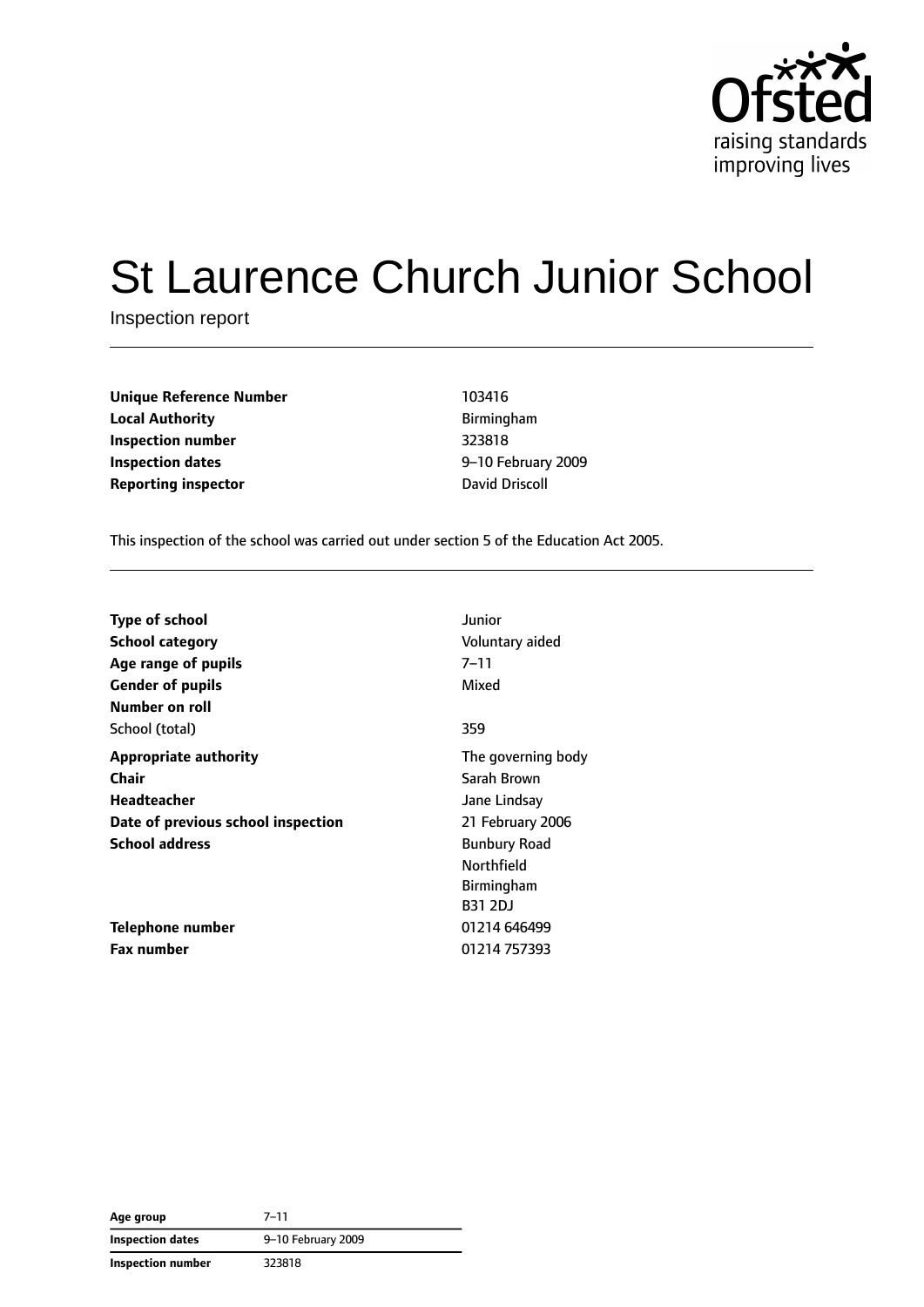

# St Laurence Church Junior School

Inspection report

| Unique Reference Number    | 103416            |
|----------------------------|-------------------|
| <b>Local Authority</b>     | <b>Birmingham</b> |
| Inspection number          | 323818            |
| Inspection dates           | 9-10 February     |
| <b>Reporting inspector</b> | David Driscoll    |

**Unique Reference Number** 103416 **Local Authority** Birmingham **Inspection number** 323818 **Inspection dates** 9–10 February 2009

This inspection of the school was carried out under section 5 of the Education Act 2005.

| <b>Type of school</b><br><b>School category</b><br>Age range of pupils<br><b>Gender of pupils</b><br>Number on roll | Junior<br>Voluntary aided<br>7–11<br>Mixed                            |
|---------------------------------------------------------------------------------------------------------------------|-----------------------------------------------------------------------|
| School (total)                                                                                                      | 359                                                                   |
| <b>Appropriate authority</b><br>Chair<br>Headteacher<br>Date of previous school inspection                          | The governing body<br>Sarah Brown<br>Jane Lindsay<br>21 February 2006 |
| <b>School address</b>                                                                                               | <b>Bunbury Road</b><br>Northfield<br>Birmingham<br><b>B31 2DJ</b>     |
| Telephone number                                                                                                    | 01214 646499                                                          |
| <b>Fax number</b>                                                                                                   | 01214 757393                                                          |

| Age group         | $7 - 11$           |  |
|-------------------|--------------------|--|
| Inspection dates  | 9-10 February 2009 |  |
| Inspection number | 323818             |  |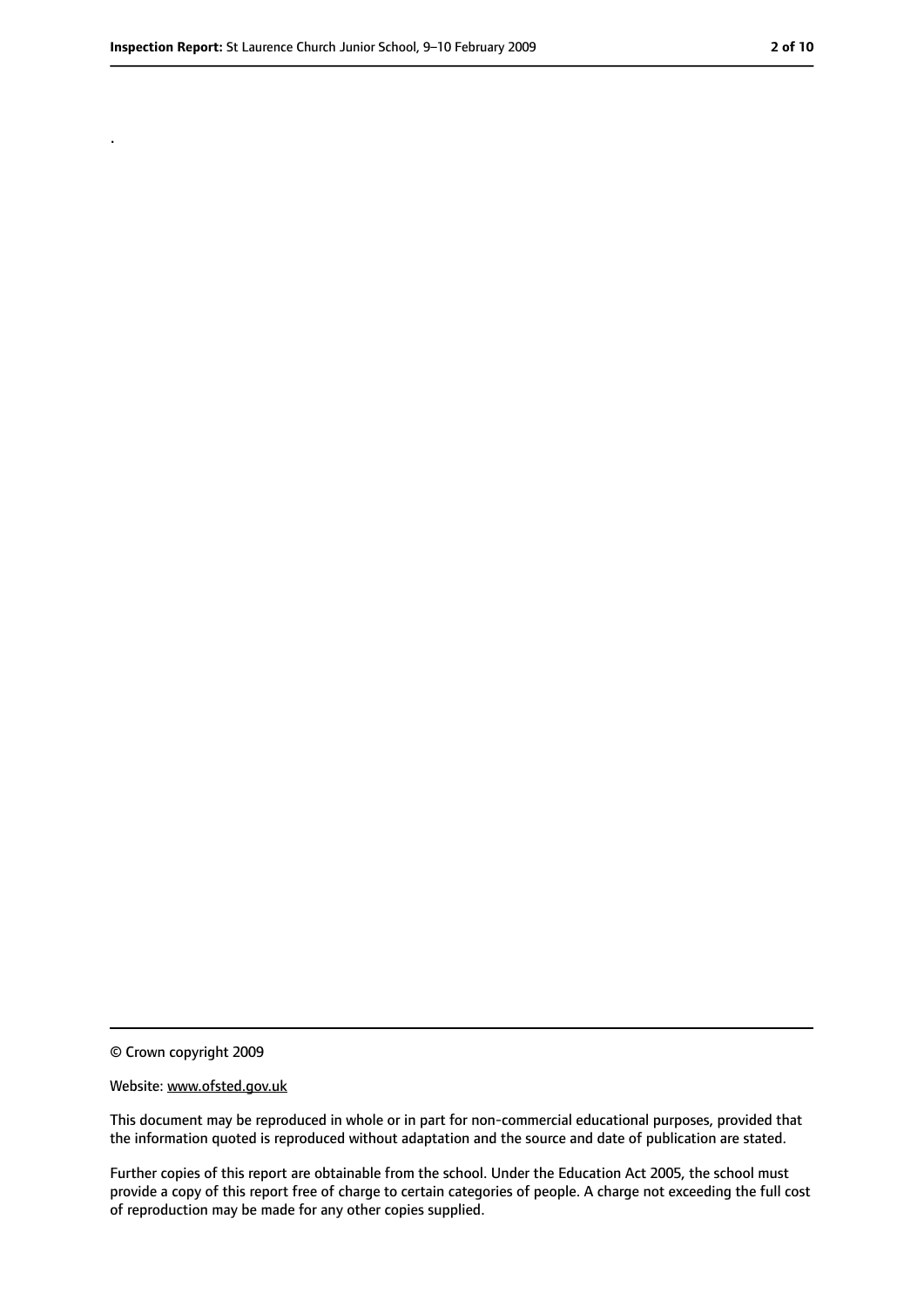.

<sup>©</sup> Crown copyright 2009

Website: www.ofsted.gov.uk

This document may be reproduced in whole or in part for non-commercial educational purposes, provided that the information quoted is reproduced without adaptation and the source and date of publication are stated.

Further copies of this report are obtainable from the school. Under the Education Act 2005, the school must provide a copy of this report free of charge to certain categories of people. A charge not exceeding the full cost of reproduction may be made for any other copies supplied.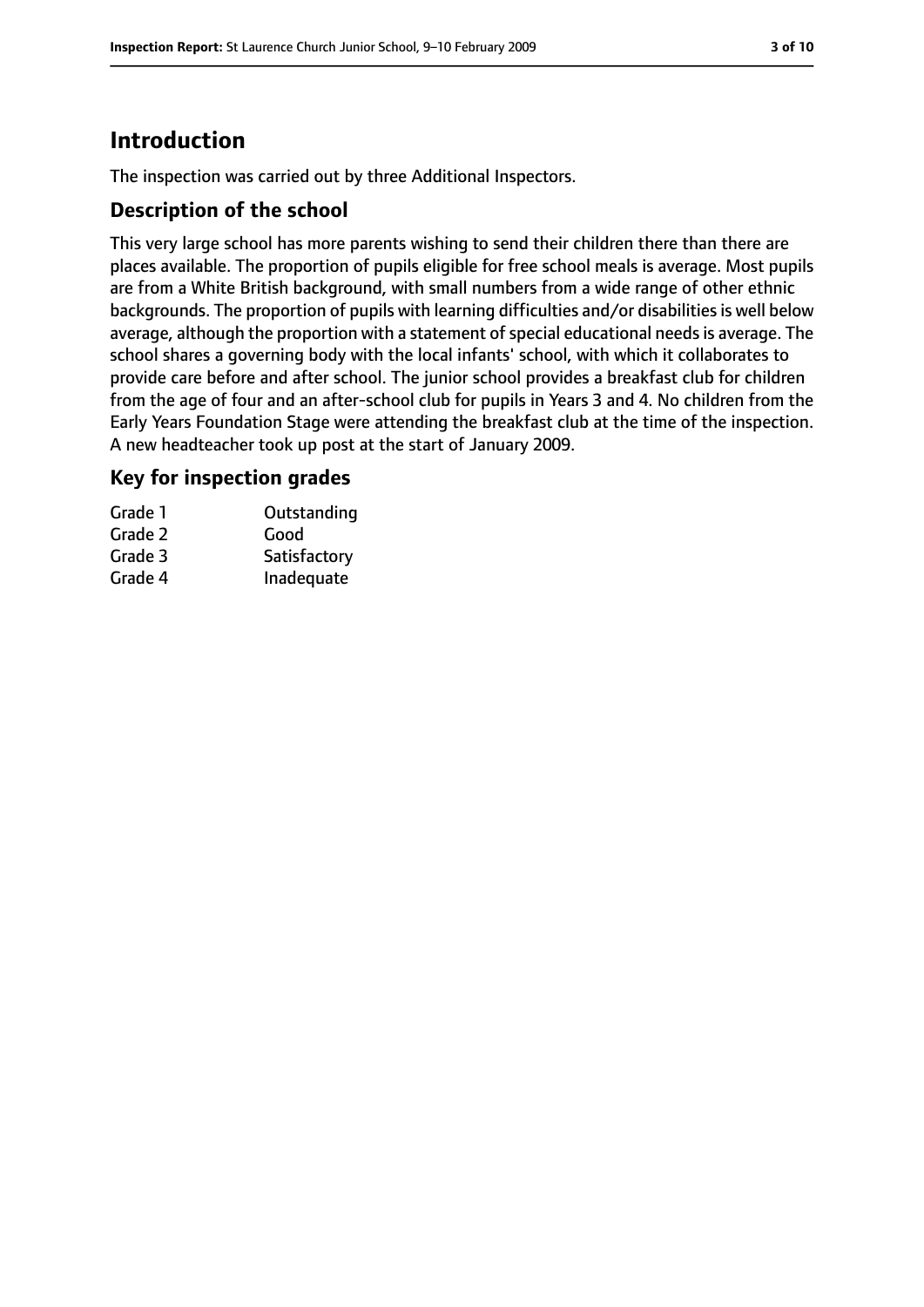# **Introduction**

The inspection was carried out by three Additional Inspectors.

## **Description of the school**

This very large school has more parents wishing to send their children there than there are places available. The proportion of pupils eligible for free school meals is average. Most pupils are from a White British background, with small numbers from a wide range of other ethnic backgrounds. The proportion of pupils with learning difficulties and/or disabilities is well below average, although the proportion with a statement of special educational needs is average. The school shares a governing body with the local infants' school, with which it collaborates to provide care before and after school. The junior school provides a breakfast club for children from the age of four and an after-school club for pupils in Years 3 and 4. No children from the Early Years Foundation Stage were attending the breakfast club at the time of the inspection. A new headteacher took up post at the start of January 2009.

## **Key for inspection grades**

| Grade 1 | Outstanding  |
|---------|--------------|
| Grade 2 | Good         |
| Grade 3 | Satisfactory |
| Grade 4 | Inadequate   |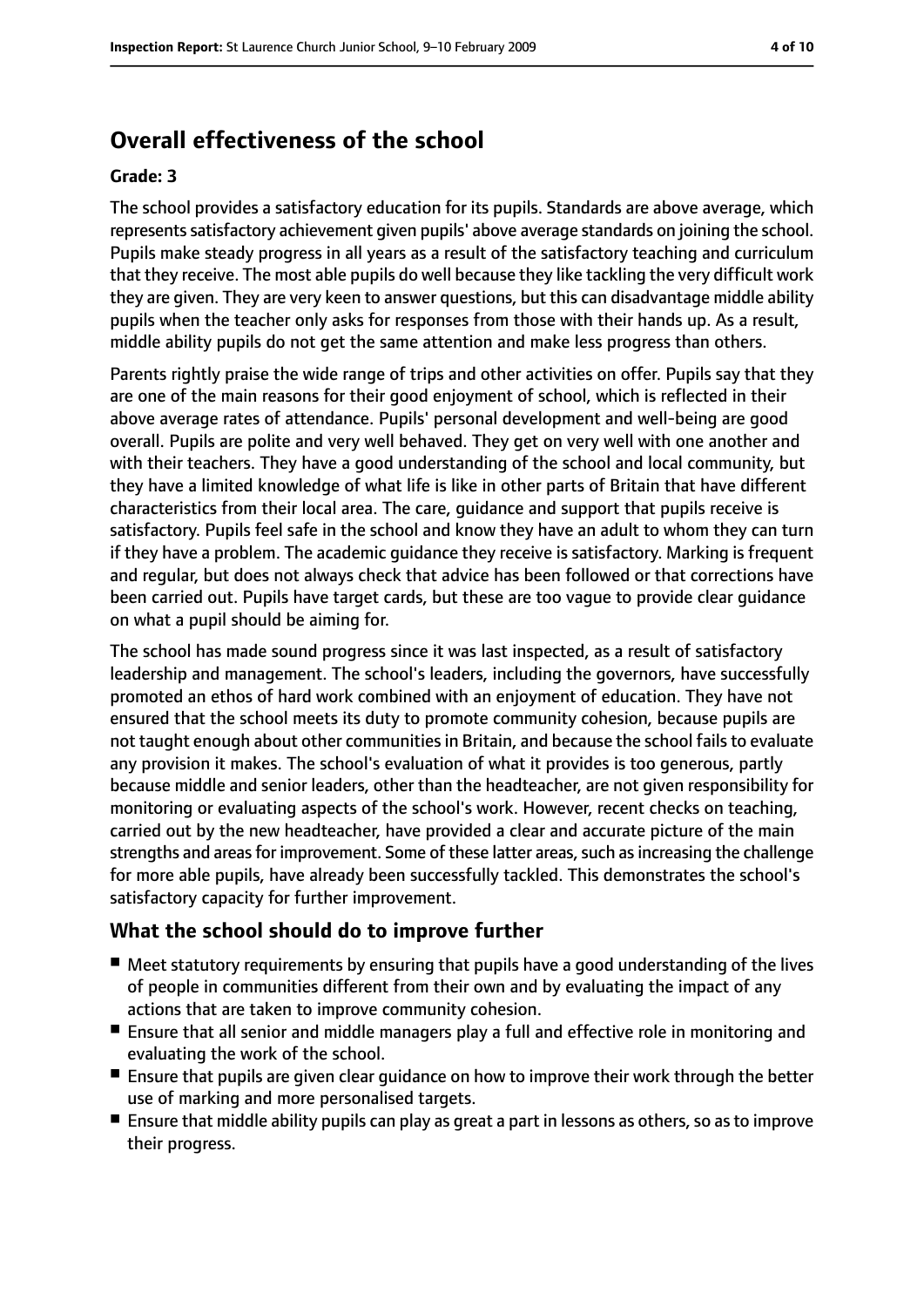# **Overall effectiveness of the school**

#### **Grade: 3**

The school provides a satisfactory education for its pupils. Standards are above average, which represents satisfactory achievement given pupils' above average standards on joining the school. Pupils make steady progress in all years as a result of the satisfactory teaching and curriculum that they receive. The most able pupils do well because they like tackling the very difficult work they are given. They are very keen to answer questions, but this can disadvantage middle ability pupils when the teacher only asks for responses from those with their hands up. As a result, middle ability pupils do not get the same attention and make less progress than others.

Parents rightly praise the wide range of trips and other activities on offer. Pupils say that they are one of the main reasons for their good enjoyment of school, which is reflected in their above average rates of attendance. Pupils' personal development and well-being are good overall. Pupils are polite and very well behaved. They get on very well with one another and with their teachers. They have a good understanding of the school and local community, but they have a limited knowledge of what life is like in other parts of Britain that have different characteristics from their local area. The care, guidance and support that pupils receive is satisfactory. Pupils feel safe in the school and know they have an adult to whom they can turn if they have a problem. The academic guidance they receive is satisfactory. Marking is frequent and regular, but does not always check that advice has been followed or that corrections have been carried out. Pupils have target cards, but these are too vague to provide clear guidance on what a pupil should be aiming for.

The school has made sound progress since it was last inspected, as a result of satisfactory leadership and management. The school's leaders, including the governors, have successfully promoted an ethos of hard work combined with an enjoyment of education. They have not ensured that the school meets its duty to promote community cohesion, because pupils are not taught enough about other communities in Britain, and because the school fails to evaluate any provision it makes. The school's evaluation of what it provides is too generous, partly because middle and senior leaders, other than the headteacher, are not given responsibility for monitoring or evaluating aspects of the school's work. However, recent checks on teaching, carried out by the new headteacher, have provided a clear and accurate picture of the main strengths and areas for improvement. Some of these latter areas, such as increasing the challenge for more able pupils, have already been successfully tackled. This demonstrates the school's satisfactory capacity for further improvement.

#### **What the school should do to improve further**

- Meet statutory requirements by ensuring that pupils have a good understanding of the lives of people in communities different from their own and by evaluating the impact of any actions that are taken to improve community cohesion.
- Ensure that all senior and middle managers play a full and effective role in monitoring and evaluating the work of the school.
- Ensure that pupils are given clear guidance on how to improve their work through the better use of marking and more personalised targets.
- Ensure that middle ability pupils can play as great a part in lessons as others, so as to improve their progress.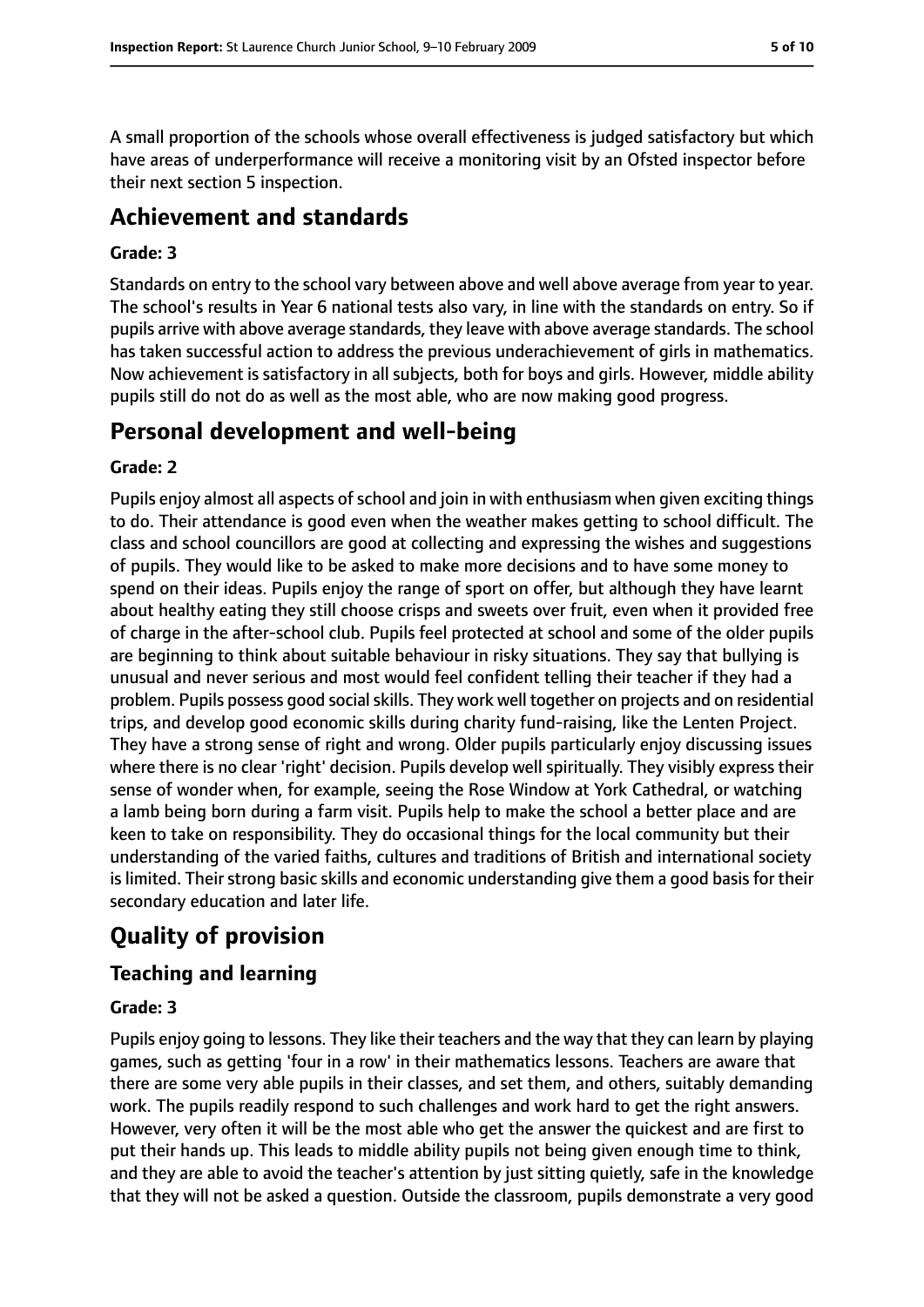A small proportion of the schools whose overall effectiveness is judged satisfactory but which have areas of underperformance will receive a monitoring visit by an Ofsted inspector before their next section 5 inspection.

# **Achievement and standards**

#### **Grade: 3**

Standards on entry to the school vary between above and well above average from year to year. The school's results in Year 6 national tests also vary, in line with the standards on entry. So if pupils arrive with above average standards, they leave with above average standards. The school has taken successful action to address the previous underachievement of girls in mathematics. Now achievement is satisfactory in all subjects, both for boys and girls. However, middle ability pupils still do not do as well as the most able, who are now making good progress.

# **Personal development and well-being**

#### **Grade: 2**

Pupils enjoy almost all aspects of school and join in with enthusiasm when given exciting things to do. Their attendance is good even when the weather makes getting to school difficult. The class and school councillors are good at collecting and expressing the wishes and suggestions of pupils. They would like to be asked to make more decisions and to have some money to spend on their ideas. Pupils enjoy the range of sport on offer, but although they have learnt about healthy eating they still choose crisps and sweets over fruit, even when it provided free of charge in the after-school club. Pupils feel protected at school and some of the older pupils are beginning to think about suitable behaviour in risky situations. They say that bullying is unusual and never serious and most would feel confident telling their teacher if they had a problem. Pupils possess good social skills. They work well together on projects and on residential trips, and develop good economic skills during charity fund-raising, like the Lenten Project. They have a strong sense of right and wrong. Older pupils particularly enjoy discussing issues where there is no clear 'right' decision. Pupils develop well spiritually. They visibly express their sense of wonder when, for example, seeing the Rose Window at York Cathedral, or watching a lamb being born during a farm visit. Pupils help to make the school a better place and are keen to take on responsibility. They do occasional things for the local community but their understanding of the varied faiths, cultures and traditions of British and international society is limited. Their strong basic skills and economic understanding give them a good basis for their secondary education and later life.

# **Quality of provision**

## **Teaching and learning**

#### **Grade: 3**

Pupils enjoy going to lessons. They like their teachers and the way that they can learn by playing games, such as getting 'four in a row' in their mathematics lessons. Teachers are aware that there are some very able pupils in their classes, and set them, and others, suitably demanding work. The pupils readily respond to such challenges and work hard to get the right answers. However, very often it will be the most able who get the answer the quickest and are first to put their hands up. This leads to middle ability pupils not being given enough time to think, and they are able to avoid the teacher's attention by just sitting quietly, safe in the knowledge that they will not be asked a question. Outside the classroom, pupils demonstrate a very good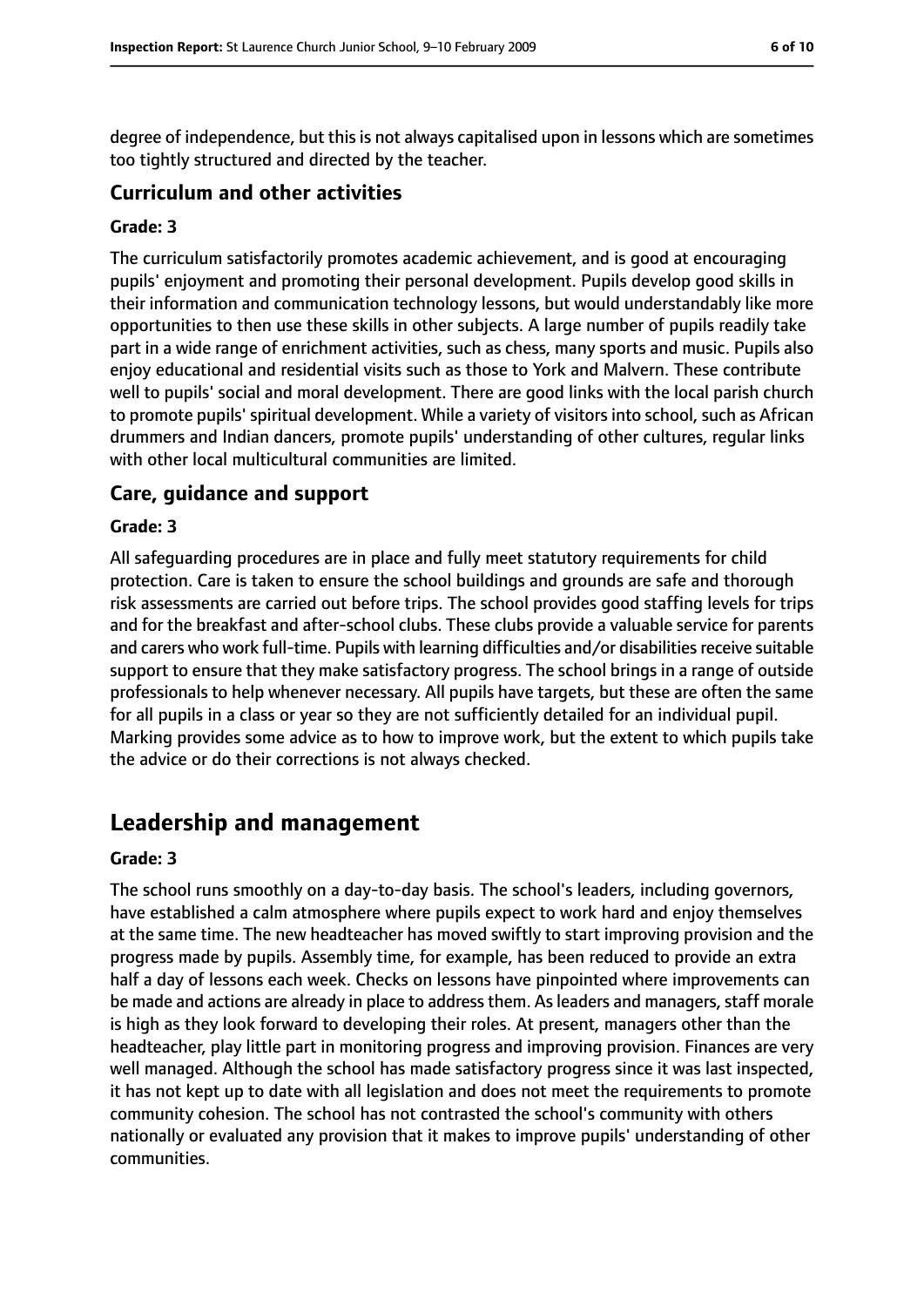degree of independence, but this is not always capitalised upon in lessons which are sometimes too tightly structured and directed by the teacher.

### **Curriculum and other activities**

#### **Grade: 3**

The curriculum satisfactorily promotes academic achievement, and is good at encouraging pupils' enjoyment and promoting their personal development. Pupils develop good skills in their information and communication technology lessons, but would understandably like more opportunities to then use these skills in other subjects. A large number of pupils readily take part in a wide range of enrichment activities, such as chess, many sports and music. Pupils also enjoy educational and residential visits such as those to York and Malvern. These contribute well to pupils' social and moral development. There are good links with the local parish church to promote pupils' spiritual development. While a variety of visitors into school, such as African drummers and Indian dancers, promote pupils' understanding of other cultures, regular links with other local multicultural communities are limited.

#### **Care, guidance and support**

#### **Grade: 3**

All safeguarding procedures are in place and fully meet statutory requirements for child protection. Care is taken to ensure the school buildings and grounds are safe and thorough risk assessments are carried out before trips. The school provides good staffing levels for trips and for the breakfast and after-school clubs. These clubs provide a valuable service for parents and carers who work full-time. Pupils with learning difficulties and/or disabilities receive suitable support to ensure that they make satisfactory progress. The school brings in a range of outside professionals to help whenever necessary. All pupils have targets, but these are often the same for all pupils in a class or year so they are not sufficiently detailed for an individual pupil. Marking provides some advice as to how to improve work, but the extent to which pupils take the advice or do their corrections is not always checked.

# **Leadership and management**

#### **Grade: 3**

The school runs smoothly on a day-to-day basis. The school's leaders, including governors, have established a calm atmosphere where pupils expect to work hard and enjoy themselves at the same time. The new headteacher has moved swiftly to start improving provision and the progress made by pupils. Assembly time, for example, has been reduced to provide an extra half a day of lessons each week. Checks on lessons have pinpointed where improvements can be made and actions are already in place to address them. As leaders and managers, staff morale is high as they look forward to developing their roles. At present, managers other than the headteacher, play little part in monitoring progress and improving provision. Finances are very well managed. Although the school has made satisfactory progress since it was last inspected, it has not kept up to date with all legislation and does not meet the requirements to promote community cohesion. The school has not contrasted the school's community with others nationally or evaluated any provision that it makes to improve pupils' understanding of other communities.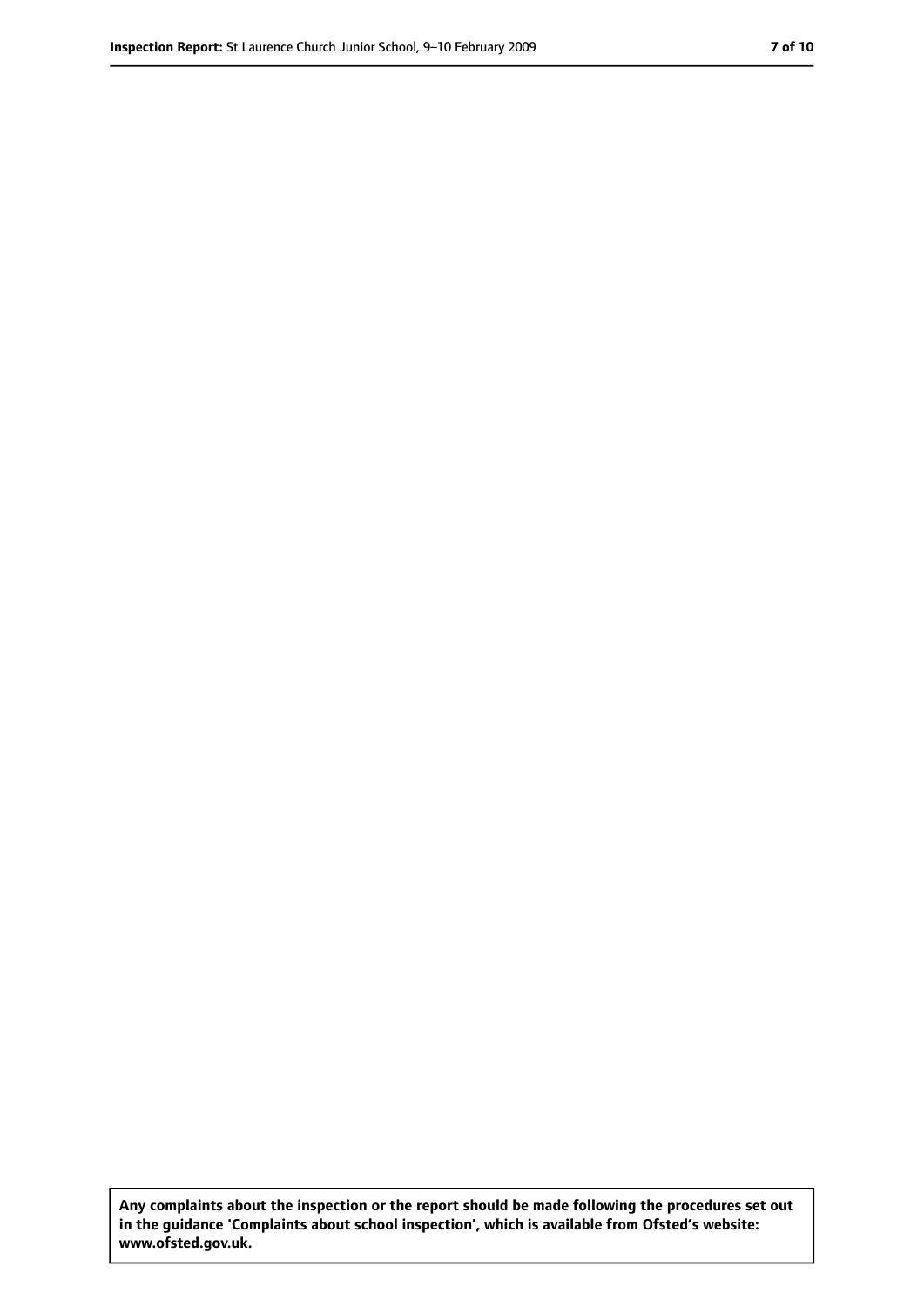**Any complaints about the inspection or the report should be made following the procedures set out in the guidance 'Complaints about school inspection', which is available from Ofsted's website: www.ofsted.gov.uk.**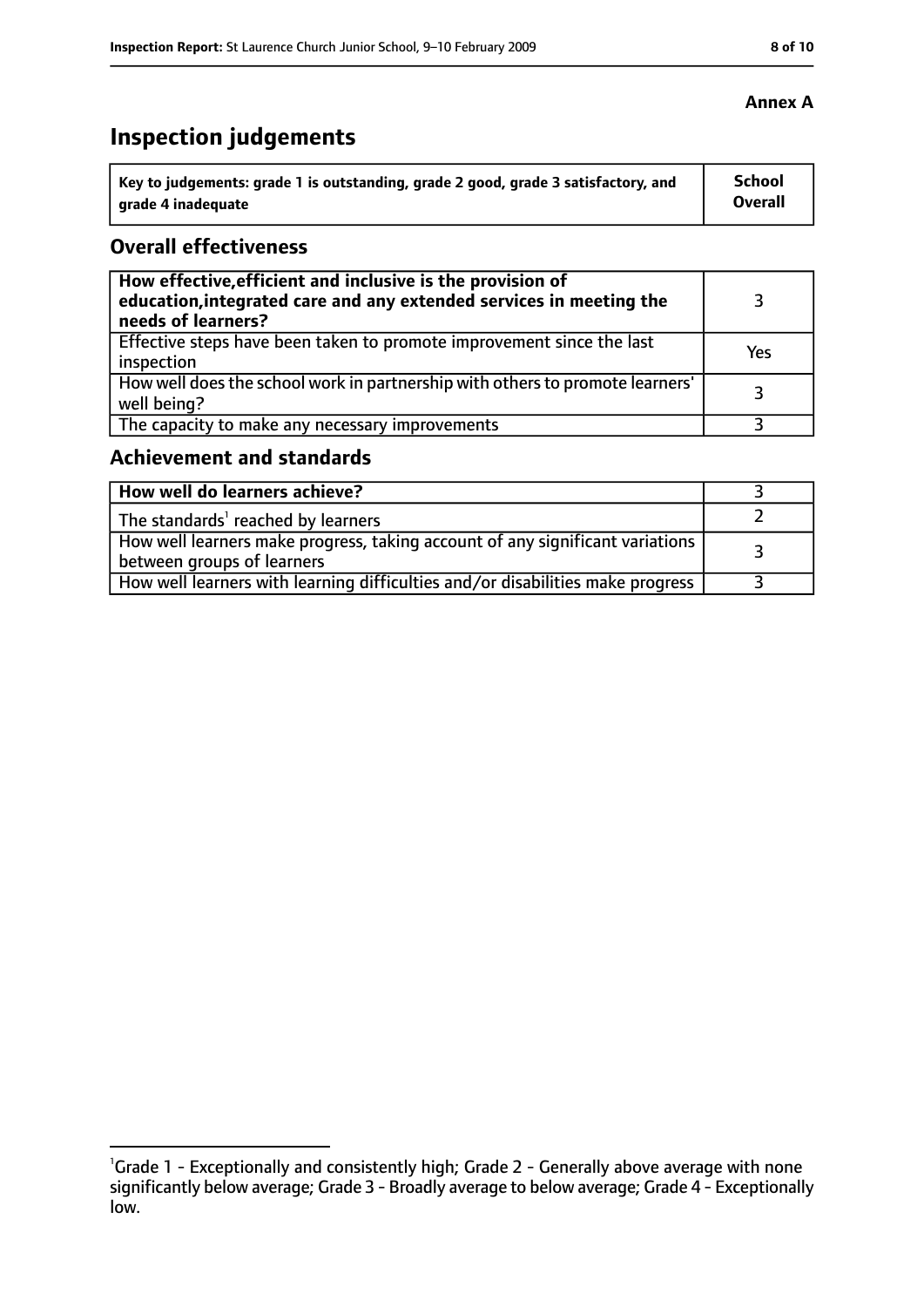# **Inspection judgements**

| Key to judgements: grade 1 is outstanding, grade 2 good, grade 3 satisfactory, and | School         |
|------------------------------------------------------------------------------------|----------------|
| grade 4 inadequate                                                                 | <b>Overall</b> |

## **Overall effectiveness**

| How effective, efficient and inclusive is the provision of<br>education, integrated care and any extended services in meeting the<br>needs of learners? |     |
|---------------------------------------------------------------------------------------------------------------------------------------------------------|-----|
| Effective steps have been taken to promote improvement since the last<br>inspection                                                                     | Yes |
| How well does the school work in partnership with others to promote learners'<br>well being?                                                            |     |
| The capacity to make any necessary improvements                                                                                                         |     |

## **Achievement and standards**

| How well do learners achieve?                                                                                 |  |
|---------------------------------------------------------------------------------------------------------------|--|
| The standards' reached by learners                                                                            |  |
| How well learners make progress, taking account of any significant variations  <br>between groups of learners |  |
| How well learners with learning difficulties and/or disabilities make progress                                |  |

<sup>&</sup>lt;sup>1</sup>Grade 1 - Exceptionally and consistently high; Grade 2 - Generally above average with none significantly below average; Grade 3 - Broadly average to below average; Grade 4 - Exceptionally low.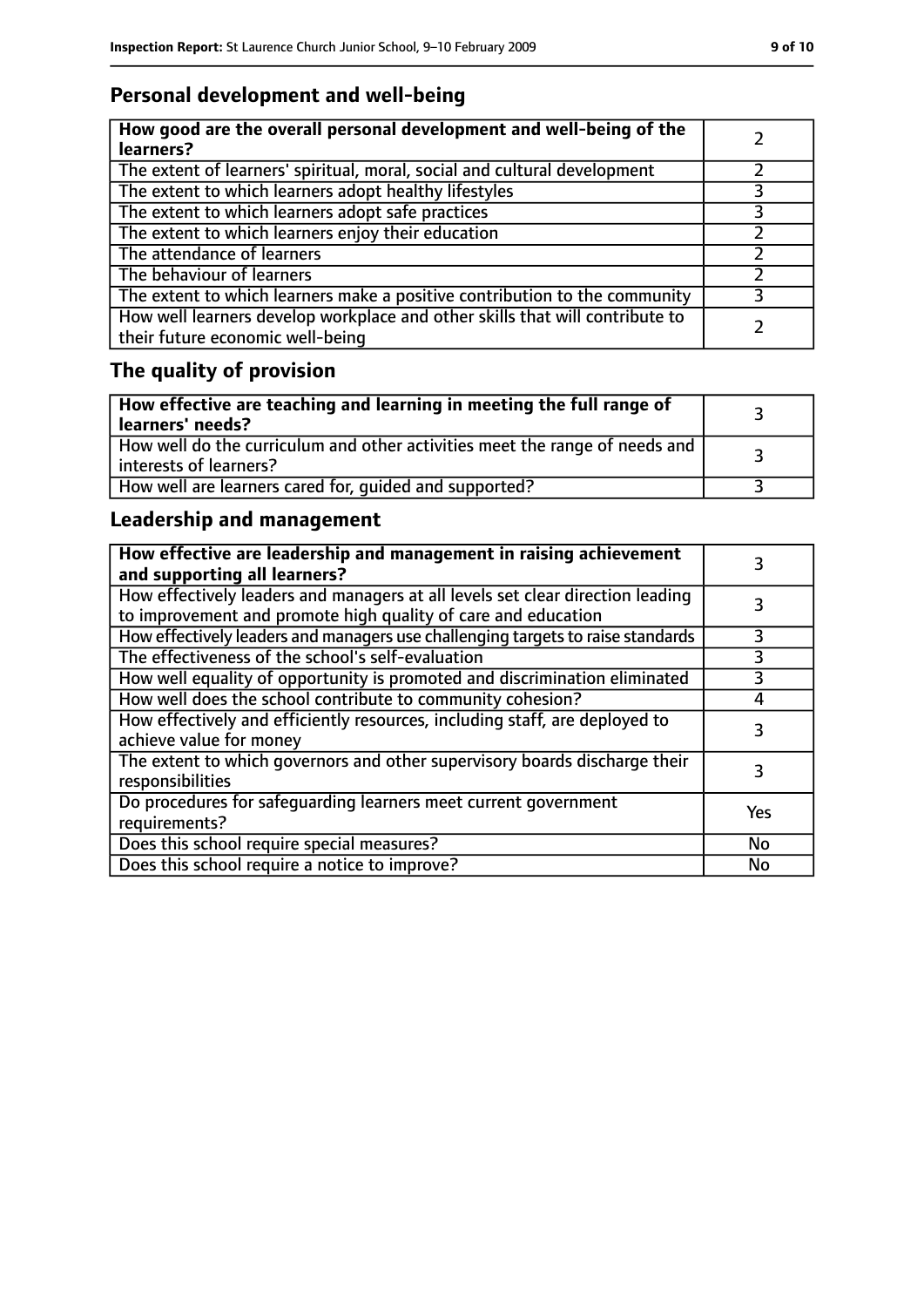## **Personal development and well-being**

| How good are the overall personal development and well-being of the<br>learners?                                 |  |
|------------------------------------------------------------------------------------------------------------------|--|
| The extent of learners' spiritual, moral, social and cultural development                                        |  |
| The extent to which learners adopt healthy lifestyles                                                            |  |
| The extent to which learners adopt safe practices                                                                |  |
| The extent to which learners enjoy their education                                                               |  |
| The attendance of learners                                                                                       |  |
| The behaviour of learners                                                                                        |  |
| The extent to which learners make a positive contribution to the community                                       |  |
| How well learners develop workplace and other skills that will contribute to<br>their future economic well-being |  |

# **The quality of provision**

| How effective are teaching and learning in meeting the full range of<br>learners' needs?              |  |
|-------------------------------------------------------------------------------------------------------|--|
| How well do the curriculum and other activities meet the range of needs and<br>interests of learners? |  |
| How well are learners cared for, quided and supported?                                                |  |

## **Leadership and management**

| How effective are leadership and management in raising achievement<br>and supporting all learners?                                              |           |
|-------------------------------------------------------------------------------------------------------------------------------------------------|-----------|
| How effectively leaders and managers at all levels set clear direction leading<br>to improvement and promote high quality of care and education |           |
| How effectively leaders and managers use challenging targets to raise standards                                                                 | 3         |
| The effectiveness of the school's self-evaluation                                                                                               | 3         |
| How well equality of opportunity is promoted and discrimination eliminated                                                                      | 3         |
| How well does the school contribute to community cohesion?                                                                                      | 4         |
| How effectively and efficiently resources, including staff, are deployed to<br>achieve value for money                                          | 3         |
| The extent to which governors and other supervisory boards discharge their<br>responsibilities                                                  |           |
| Do procedures for safequarding learners meet current government<br>requirements?                                                                | Yes       |
| Does this school require special measures?                                                                                                      | <b>No</b> |
| Does this school require a notice to improve?                                                                                                   | No        |